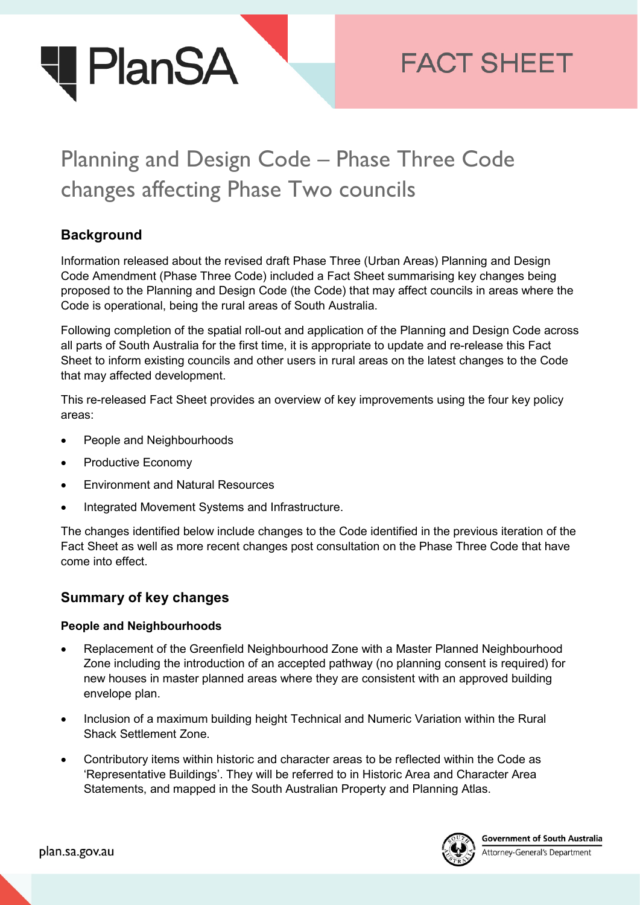

# Planning and Design Code – Phase Three Code changes affecting Phase Two councils

## **Background**

Information released about the revised draft Phase Three (Urban Areas) Planning and Design Code Amendment (Phase Three Code) included a Fact Sheet summarising key changes being proposed to the Planning and Design Code (the Code) that may affect councils in areas where the Code is operational, being the rural areas of South Australia.

Following completion of the spatial roll-out and application of the Planning and Design Code across all parts of South Australia for the first time, it is appropriate to update and re-release this Fact Sheet to inform existing councils and other users in rural areas on the latest changes to the Code that may affected development.

This re-released Fact Sheet provides an overview of key improvements using the four key policy areas:

- People and Neighbourhoods
- Productive Economy
- Environment and Natural Resources
- Integrated Movement Systems and Infrastructure.

The changes identified below include changes to the Code identified in the previous iteration of the Fact Sheet as well as more recent changes post consultation on the Phase Three Code that have come into effect.

### **Summary of key changes**

#### **People and Neighbourhoods**

- Replacement of the Greenfield Neighbourhood Zone with a Master Planned Neighbourhood Zone including the introduction of an accepted pathway (no planning consent is required) for new houses in master planned areas where they are consistent with an approved building envelope plan.
- Inclusion of a maximum building height Technical and Numeric Variation within the Rural Shack Settlement Zone.
- Contributory items within historic and character areas to be reflected within the Code as 'Representative Buildings'. They will be referred to in Historic Area and Character Area Statements, and mapped in the South Australian Property and Planning Atlas.



**Government of South Australia** Attorney-General's Department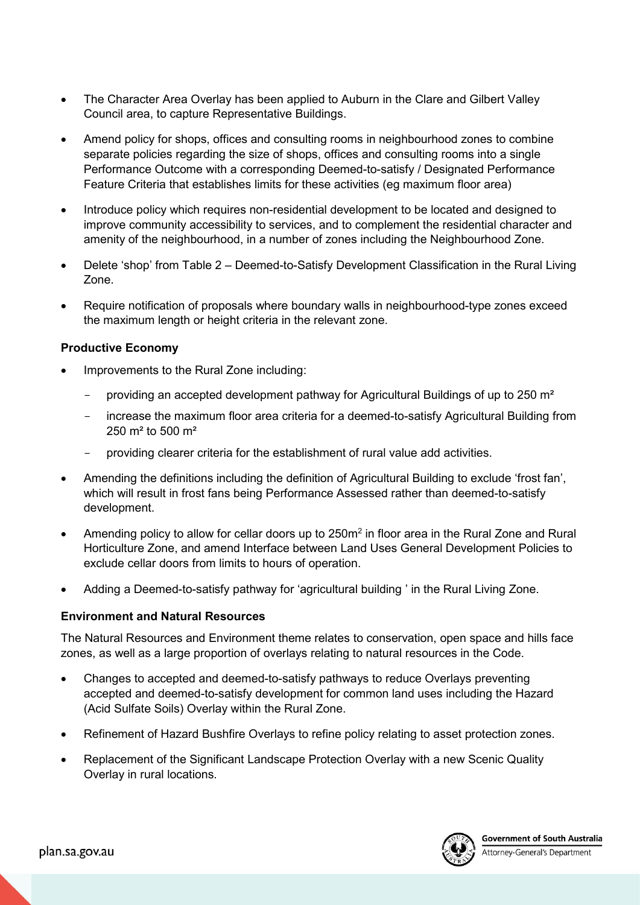- The Character Area Overlay has been applied to Auburn in the Clare and Gilbert Valley Council area, to capture Representative Buildings.
- Amend policy for shops, offices and consulting rooms in neighbourhood zones to combine separate policies regarding the size of shops, offices and consulting rooms into a single Performance Outcome with a corresponding Deemed-to-satisfy / Designated Performance Feature Criteria that establishes limits for these activities (eg maximum floor area)
- Introduce policy which requires non-residential development to be located and designed to improve community accessibility to services, and to complement the residential character and amenity of the neighbourhood, in a number of zones including the Neighbourhood Zone.
- Delete 'shop' from Table 2 Deemed-to-Satisfy Development Classification in the Rural Living Zone.
- Require notification of proposals where boundary walls in neighbourhood-type zones exceed the maximum length or height criteria in the relevant zone.

#### **Productive Economy**

- Improvements to the Rural Zone including:
	- providing an accepted development pathway for Agricultural Buildings of up to 250 m²
	- increase the maximum floor area criteria for a deemed-to-satisfy Agricultural Building from 250 m² to 500 m²
	- providing clearer criteria for the establishment of rural value add activities.
- Amending the definitions including the definition of Agricultural Building to exclude 'frost fan', which will result in frost fans being Performance Assessed rather than deemed-to-satisfy development.
- Amending policy to allow for cellar doors up to 250m<sup>2</sup> in floor area in the Rural Zone and Rural Horticulture Zone, and amend Interface between Land Uses General Development Policies to exclude cellar doors from limits to hours of operation.
- Adding a Deemed-to-satisfy pathway for 'agricultural building ' in the Rural Living Zone.

#### **Environment and Natural Resources**

The Natural Resources and Environment theme relates to conservation, open space and hills face zones, as well as a large proportion of overlays relating to natural resources in the Code.

- Changes to accepted and deemed-to-satisfy pathways to reduce Overlays preventing accepted and deemed-to-satisfy development for common land uses including the Hazard (Acid Sulfate Soils) Overlay within the Rural Zone.
- Refinement of Hazard Bushfire Overlays to refine policy relating to asset protection zones.
- Replacement of the Significant Landscape Protection Overlay with a new Scenic Quality Overlay in rural locations.